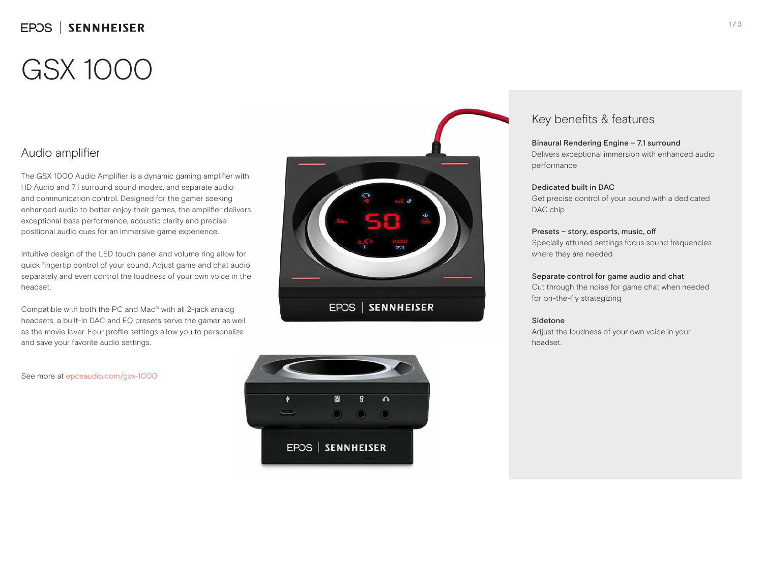## EPOS | SENNHEISER

# GSX 1000

### Audio amplifier

The GSX 1000 Audio Amplifier is a dynamic gaming amplifier with HD Audio and 7.1 surround sound modes, and separate audio and communication control. Designed for the gamer seeking enhanced audio to better enjoy their games, the amplifier delivers exceptional bass performance, acoustic clarity and precise positional audio cues for an immersive game experience.

Intuitive design of the LED touch panel and volume ring allow for quick fingertip control of your sound. Adjust game and chat audio separately and even control the loudness of your own voice in the headset.

Compatible with both the PC and Mac® with all 2-jack analog headsets, a built-in DAC and EQ presets serve the gamer as well as the movie lover. Four profile settings allow you to personalize and save your favorite audio settings.





### Key benefits & features

#### Binaural Rendering Engine – 7.1 surround

Delivers exceptional immersion with enhanced audio performance

#### Dedicated built in DAC

Get precise control of your sound with a dedicated DAC chip

#### Presets – story, esports, music, off

Specially attuned settings focus sound frequencies where they are needed

#### Separate control for game audio and chat

Cut through the noise for game chat when needed for on-the-fly strategizing

#### Sidetone

Adjust the loudness of your own voice in your headset.

See more at eposaudio.com/gsx-1000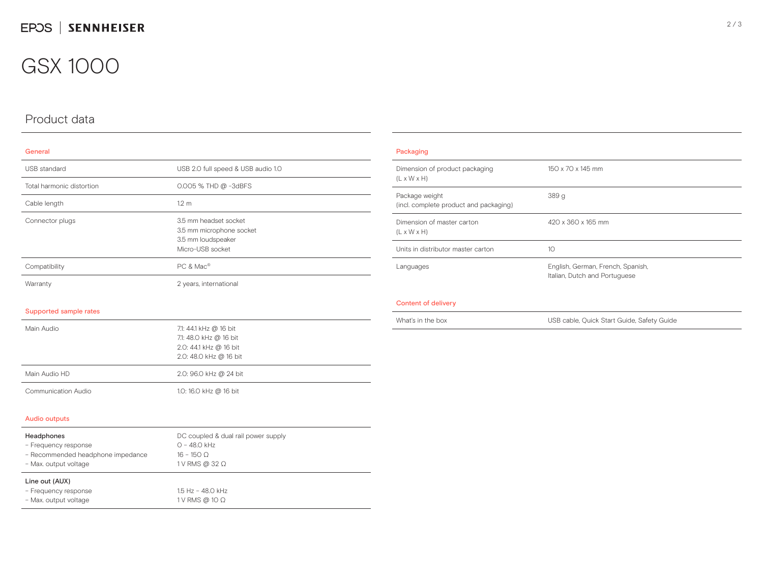## GSX 1000

## Product data

| General                            |                                                                                                      |  |
|------------------------------------|------------------------------------------------------------------------------------------------------|--|
| <b>USB</b> standard                | USB 2.0 full speed & USB audio 1.0                                                                   |  |
| Total harmonic distortion          | 0.005 % THD @ -3dBFS                                                                                 |  |
| Cable length                       | 1.2 <sub>m</sub>                                                                                     |  |
| Connector plugs                    | 3.5 mm headset socket<br>3.5 mm microphone socket<br>3.5 mm loudspeaker<br>Micro-USB socket          |  |
| Compatibility                      | PC & Mac                                                                                             |  |
| Warranty                           | 2 years, international                                                                               |  |
| Supported sample rates             |                                                                                                      |  |
| Main Audio                         | 7.1: 44.1 kHz @ 16 bit<br>7.1: 48.0 kHz @ 16 bit<br>2.0: 44.1 kHz @ 16 bit<br>2.0: 48.0 kHz @ 16 bit |  |
| Main Audio HD                      | 2.0: 96.0 kHz @ 24 bit                                                                               |  |
| Communication Audio                | 1.0: 16.0 kHz @ 16 bit                                                                               |  |
| <b>Audio outputs</b>               |                                                                                                      |  |
| Headphones<br>- Frequency response | DC coupled & dual rail power supply<br>$O - 48.O$ kHz                                                |  |

| Line out (AUX)                    | $A = 11$ $A \cap \cap 111$ |  |
|-----------------------------------|----------------------------|--|
| - Max. output voltage             | 1 V RMS @ 32 $\Omega$      |  |
| - Recommended headphone impedance | $16 - 150$ O               |  |
|                                   | ----------                 |  |

| - Frequency response  | $1.5$ Hz - 48.0 kHz   |
|-----------------------|-----------------------|
| - Max. output voltage | 1 V RMS @ 10 $\Omega$ |
|                       |                       |

| Dimension of product packaging<br>$(L \times W \times H)$ | 150 x 70 x 145 mm                                                  |  |
|-----------------------------------------------------------|--------------------------------------------------------------------|--|
| Package weight<br>(incl. complete product and packaging)  | 389 <sub>g</sub>                                                   |  |
| Dimension of master carton<br>$(L \times W \times H)$     | 420 x 360 x 165 mm                                                 |  |
| Units in distributor master carton                        | 10                                                                 |  |
| Languages                                                 | English, German, French, Spanish,<br>Italian, Dutch and Portuguese |  |

#### Content of delivery

What's in the box USB cable, Quick Start Guide, Safety Guide